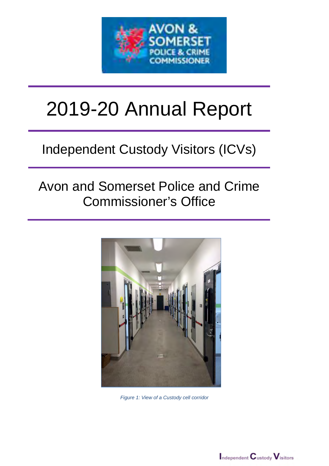

# 2019-20 Annual Report

# Independent Custody Visitors (ICVs)

## Avon and Somerset Police and Crime Commissioner's Office



*Figure 1: View of a Custody cell corridor*

 $\blacksquare$ ndependent  $\mathbf C$ ustody  $\mathbf V$ isitors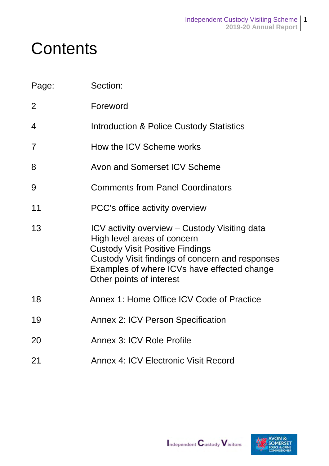# **Contents**

| Page:          | Section:                                                                                                                                                                                                                                             |
|----------------|------------------------------------------------------------------------------------------------------------------------------------------------------------------------------------------------------------------------------------------------------|
| $\overline{2}$ | Foreword                                                                                                                                                                                                                                             |
| 4              | <b>Introduction &amp; Police Custody Statistics</b>                                                                                                                                                                                                  |
| $\overline{7}$ | How the ICV Scheme works                                                                                                                                                                                                                             |
| 8              | Avon and Somerset ICV Scheme                                                                                                                                                                                                                         |
| 9              | <b>Comments from Panel Coordinators</b>                                                                                                                                                                                                              |
| 11             | PCC's office activity overview                                                                                                                                                                                                                       |
| 13             | ICV activity overview – Custody Visiting data<br>High level areas of concern<br><b>Custody Visit Positive Findings</b><br>Custody Visit findings of concern and responses<br>Examples of where ICVs have effected change<br>Other points of interest |
| 18             | Annex 1: Home Office ICV Code of Practice                                                                                                                                                                                                            |
| 19             | <b>Annex 2: ICV Person Specification</b>                                                                                                                                                                                                             |
| 20             | Annex 3: ICV Role Profile                                                                                                                                                                                                                            |
| 21             | <b>Annex 4: ICV Electronic Visit Record</b>                                                                                                                                                                                                          |

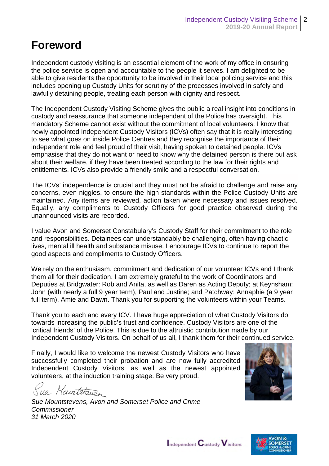### **Foreword**

Independent custody visiting is an essential element of the work of my office in ensuring the police service is open and accountable to the people it serves. I am delighted to be able to give residents the opportunity to be involved in their local policing service and this includes opening up Custody Units for scrutiny of the processes involved in safely and lawfully detaining people, treating each person with dignity and respect.

The Independent Custody Visiting Scheme gives the public a real insight into conditions in custody and reassurance that someone independent of the Police has oversight. This mandatory Scheme cannot exist without the commitment of local volunteers. I know that newly appointed Independent Custody Visitors (ICVs) often say that it is really interesting to see what goes on inside Police Centres and they recognise the importance of their independent role and feel proud of their visit, having spoken to detained people. ICVs emphasise that they do not want or need to know why the detained person is there but ask about their welfare, if they have been treated according to the law for their rights and entitlements. ICVs also provide a friendly smile and a respectful conversation.

The ICVs' independence is crucial and they must not be afraid to challenge and raise any concerns, even niggles, to ensure the high standards within the Police Custody Units are maintained. Any items are reviewed, action taken where necessary and issues resolved. Equally, any compliments to Custody Officers for good practice observed during the unannounced visits are recorded.

I value Avon and Somerset Constabulary's Custody Staff for their commitment to the role and responsibilities. Detainees can understandably be challenging, often having chaotic lives, mental ill health and substance misuse. I encourage ICVs to continue to report the good aspects and compliments to Custody Officers.

We rely on the enthusiasm, commitment and dedication of our volunteer ICVs and I thank them all for their dedication. I am extremely grateful to the work of Coordinators and Deputies at Bridgwater: Rob and Anita, as well as Daren as Acting Deputy; at Keynsham: John (with nearly a full 9 year term), Paul and Justine; and Patchway: Annaphie (a 9 year full term), Amie and Dawn. Thank you for supporting the volunteers within your Teams.

Thank you to each and every ICV. I have huge appreciation of what Custody Visitors do towards increasing the public's trust and confidence. Custody Visitors are one of the 'critical friends' of the Police. This is due to the altruistic contribution made by our Independent Custody Visitors. On behalf of us all, I thank them for their continued service.

Finally, I would like to welcome the newest Custody Visitors who have successfully completed their probation and are now fully accredited Independent Custody Visitors, as well as the newest appointed volunteers, at the induction training stage. Be very proud.

ue Maintenburg

*Sue Mountstevens, Avon and Somerset Police and Crime Commissioner 31 March 2020*



 $\mathsf{I}_{\mathsf{ndependent}} \mathbf{C}_{\mathsf{ustody}} \mathbf{V}_{\mathsf{isitors}}$ 

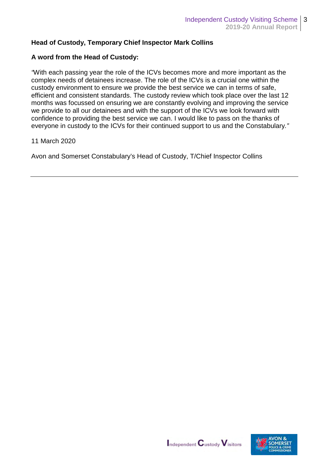#### **Head of Custody, Temporary Chief Inspector Mark Collins**

#### **A word from the Head of Custody:**

*"*With each passing year the role of the ICVs becomes more and more important as the complex needs of detainees increase. The role of the ICVs is a crucial one within the custody environment to ensure we provide the best service we can in terms of safe, efficient and consistent standards. The custody review which took place over the last 12 months was focussed on ensuring we are constantly evolving and improving the service we provide to all our detainees and with the support of the ICVs we look forward with confidence to providing the best service we can. I would like to pass on the thanks of everyone in custody to the ICVs for their continued support to us and the Constabulary*."*

#### 11 March 2020

Avon and Somerset Constabulary's Head of Custody, T/Chief Inspector Collins



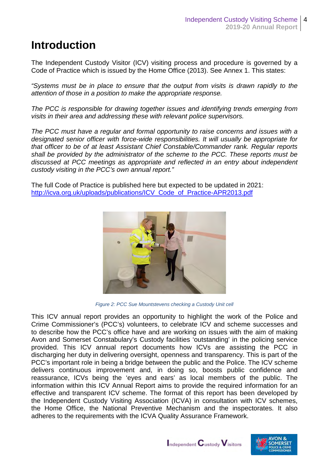### **Introduction**

The Independent Custody Visitor (ICV) visiting process and procedure is governed by a Code of Practice which is issued by the Home Office (2013). See Annex 1. This states:

*"Systems must be in place to ensure that the output from visits is drawn rapidly to the attention of those in a position to make the appropriate response.* 

*The PCC is responsible for drawing together issues and identifying trends emerging from visits in their area and addressing these with relevant police supervisors.* 

*The PCC must have a regular and formal opportunity to raise concerns and issues with a designated senior officer with force-wide responsibilities. It will usually be appropriate for that officer to be of at least Assistant Chief Constable/Commander rank. Regular reports shall be provided by the administrator of the scheme to the PCC. These reports must be discussed at PCC meetings as appropriate and reflected in an entry about independent custody visiting in the PCC's own annual report."*

The full Code of Practice is published here but expected to be updated in 2021: [http://icva.org.uk/uploads/publications/ICV\\_Code\\_of\\_Practice-APR2013.pdf](http://icva.org.uk/uploads/publications/ICV_Code_of_Practice-APR2013.pdf) 



*Figure 2: PCC Sue Mountstevens checking a Custody Unit cell*

This ICV annual report provides an opportunity to highlight the work of the Police and Crime Commissioner's (PCC's) volunteers, to celebrate ICV and scheme successes and to describe how the PCC's office have and are working on issues with the aim of making Avon and Somerset Constabulary's Custody facilities 'outstanding' in the policing service provided. This ICV annual report documents how ICVs are assisting the PCC in discharging her duty in delivering oversight, openness and transparency. This is part of the PCC's important role in being a bridge between the public and the Police. The ICV scheme delivers continuous improvement and, in doing so, boosts public confidence and reassurance, ICVs being the 'eyes and ears' as local members of the public. The information within this ICV Annual Report aims to provide the required information for an effective and transparent ICV scheme. The format of this report has been developed by the Independent Custody Visiting Association (ICVA) in consultation with ICV schemes, the Home Office, the National Preventive Mechanism and the inspectorates. It also adheres to the requirements with the ICVA Quality Assurance Framework.

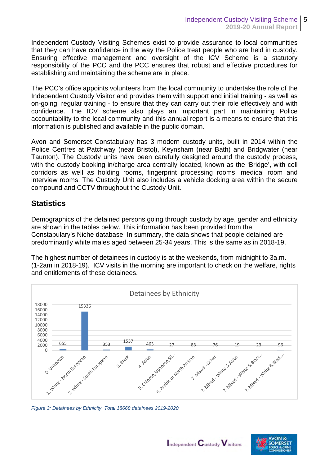Independent Custody Visiting Schemes exist to provide assurance to local communities that they can have confidence in the way the Police treat people who are held in custody. Ensuring effective management and oversight of the ICV Scheme is a statutory responsibility of the PCC and the PCC ensures that robust and effective procedures for establishing and maintaining the scheme are in place.

The PCC's office appoints volunteers from the local community to undertake the role of the Independent Custody Visitor and provides them with support and initial training - as well as on-going, regular training - to ensure that they can carry out their role effectively and with confidence. The ICV scheme also plays an important part in maintaining Police accountability to the local community and this annual report is a means to ensure that this information is published and available in the public domain.

Avon and Somerset Constabulary has 3 modern custody units, built in 2014 within the Police Centres at Patchway (near Bristol), Keynsham (near Bath) and Bridgwater (near Taunton). The Custody units have been carefully designed around the custody process, with the custody booking in/charge area centrally located, known as the 'Bridge', with cell corridors as well as holding rooms, fingerprint processing rooms, medical room and interview rooms. The Custody Unit also includes a vehicle docking area within the secure compound and CCTV throughout the Custody Unit.

#### **Statistics**

Demographics of the detained persons going through custody by age, gender and ethnicity are shown in the tables below. This information has been provided from the Constabulary's Niche database. In summary, the data shows that people detained are predominantly white males aged between 25-34 years. This is the same as in 2018-19.

The highest number of detainees in custody is at the weekends, from midnight to 3a.m. (1-2am in 2018-19). ICV visits in the morning are important to check on the welfare, rights and entitlements of these detainees.



*Figure 3: Detainees by Ethnicity. Total 18668 detainees 2019-2020*

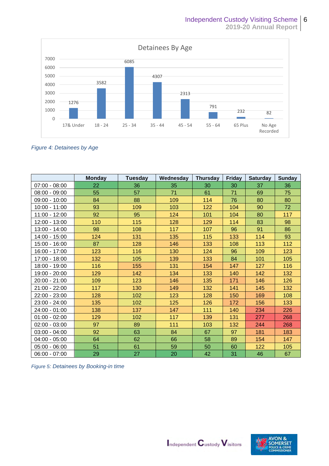

*Figure 4: Detainees by Age*

|                 | <b>Monday</b> | <b>Tuesday</b> | Wednesday | <b>Thursday</b> | Friday | <b>Saturday</b> | Sunday |
|-----------------|---------------|----------------|-----------|-----------------|--------|-----------------|--------|
| $07:00 - 08:00$ | 22            | 36             | 35        | 30              | 30     | 37              | 36     |
| $08:00 - 09:00$ | 55            | 57             | 71        | 61              | 71     | 69              | 75     |
| $09:00 - 10:00$ | 84            | 88             | 109       | 114             | 76     | 80              | 80     |
| 10:00 - 11:00   | 93            | 109            | 103       | 122             | 104    | 90              | 72     |
| 11:00 - 12:00   | 92            | 95             | 124       | 101             | 104    | 80              | 117    |
| 12:00 - 13:00   | 110           | 115            | 128       | 129             | 114    | 83              | 98     |
| 13:00 - 14:00   | 98            | 108            | 117       | 107             | 96     | 91              | 86     |
| 14:00 - 15:00   | 124           | 131            | 135       | 115             | 133    | 114             | 93     |
| 15:00 - 16:00   | 87            | 128            | 146       | 133             | 108    | 113             | 112    |
| 16:00 - 17:00   | 123           | 116            | 130       | 124             | 96     | 109             | 123    |
| 17:00 - 18:00   | 132           | 105            | 139       | 133             | 84     | 101             | 105    |
| 18:00 - 19:00   | 116           | 155            | 131       | 154             | 147    | 127             | 116    |
| 19:00 - 20:00   | 129           | 142            | 134       | 133             | 140    | 142             | 132    |
| 20:00 - 21:00   | 109           | 123            | 146       | 135             | 171    | 146             | 126    |
| 21:00 - 22:00   | 117           | 130            | 149       | 132             | 141    | 145             | 132    |
| 22:00 - 23:00   | 128           | 102            | 123       | 128             | 150    | 169             | 108    |
| 23:00 - 24:00   | 135           | 102            | 125       | 126             | 172    | 156             | 133    |
| 24:00 - 01:00   | 138           | 137            | 147       | 111             | 140    | 234             | 226    |
| $01:00 - 02:00$ | 129           | 102            | 117       | 139             | 131    | 277             | 268    |
| $02:00 - 03:00$ | 97            | 89             | 111       | 103             | 132    | 244             | 268    |
| $03:00 - 04:00$ | 92            | 63             | 84        | 67              | 97     | 181             | 183    |
| $04:00 - 05:00$ | 64            | 62             | 66        | 58              | 89     | 154             | 147    |
| $05:00 - 06:00$ | 51            | 61             | 59        | 50              | 60     | 122             | 105    |
| $06:00 - 07:00$ | 29            | 27             | 20        | 42              | 31     | 46              | 67     |

*Figure 5: Detainees by Booking-in time*

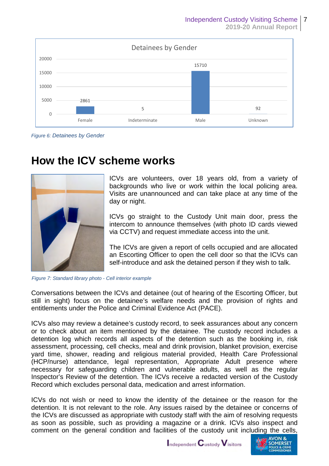

*Figure 6: Detainees by Gender*

### **How the ICV scheme works**



ICVs are volunteers, over 18 years old, from a variety of backgrounds who live or work within the local policing area. Visits are unannounced and can take place at any time of the day or night.

ICVs go straight to the Custody Unit main door, press the intercom to announce themselves (with photo ID cards viewed via CCTV) and request immediate access into the unit.

The ICVs are given a report of cells occupied and are allocated an Escorting Officer to open the cell door so that the ICVs can self-introduce and ask the detained person if they wish to talk.

*Figure 7: Standard library photo - Cell interior example*

Conversations between the ICVs and detainee (out of hearing of the Escorting Officer, but still in sight) focus on the detainee's welfare needs and the provision of rights and entitlements under the Police and Criminal Evidence Act (PACE).

ICVs also may review a detainee's custody record, to seek assurances about any concern or to check about an item mentioned by the detainee. The custody record includes a detention log which records all aspects of the detention such as the booking in, risk assessment, processing, cell checks, meal and drink provision, blanket provision, exercise yard time, shower, reading and religious material provided, Health Care Professional (HCP/nurse) attendance, legal representation, Appropriate Adult presence where necessary for safeguarding children and vulnerable adults, as well as the regular Inspector's Review of the detention. The ICVs receive a redacted version of the Custody Record which excludes personal data, medication and arrest information.

ICVs do not wish or need to know the identity of the detainee or the reason for the detention. It is not relevant to the role. Any issues raised by the detainee or concerns of the ICVs are discussed as appropriate with custody staff with the aim of resolving requests as soon as possible, such as providing a magazine or a drink. ICVs also inspect and comment on the general condition and facilities of the custody unit including the cells,

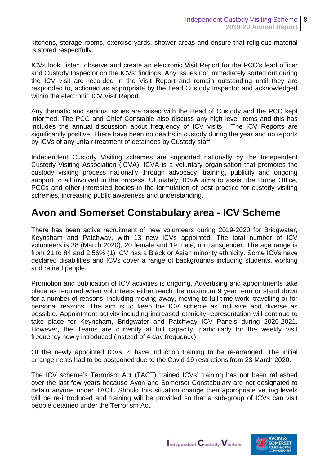kitchens, storage rooms, exercise yards, shower areas and ensure that religious material is stored respectfully.

ICVs look, listen, observe and create an electronic Visit Report for the PCC's lead officer and Custody Inspector on the ICVs' findings. Any issues not immediately sorted out during the ICV visit are recorded in the Visit Report and remain outstanding until they are responded to, actioned as appropriate by the Lead Custody Inspector and acknowledged within the electronic ICV Visit Report.

Any thematic and serious issues are raised with the Head of Custody and the PCC kept informed. The PCC and Chief Constable also discuss any high level items and this has includes the annual discussion about frequency of ICV visits. The ICV Reports are significantly positive. There have been no deaths in custody during the year and no reports by ICVs of any unfair treatment of detainees by Custody staff.

Independent Custody Visiting schemes are supported nationally by the Independent Custody Visiting Association (ICVA). ICVA is a voluntary organisation that promotes the custody visiting process nationally through advocacy, training, publicity and ongoing support to all involved in the process. Ultimately, ICVA aims to assist the Home Office, PCCs and other interested bodies in the formulation of best practice for custody visiting schemes, increasing public awareness and understanding.

### **Avon and Somerset Constabulary area - ICV Scheme**

There has been active recruitment of new volunteers during 2019-2020 for Bridgwater, Keynsham and Patchway, with 13 new ICVs appointed. The total number of ICV volunteers is 38 (March 2020), 20 female and 19 male, no transgender. The age range is from 21 to 84 and 2.56% (1) ICV has a Black or Asian minority ethnicity. Some ICVs have declared disabilities and ICVs cover a range of backgrounds including students, working and retired people.

Promotion and publication of ICV activities is ongoing. Advertising and appointments take place as required when volunteers either reach the maximum 9 year term or stand down for a number of reasons, including moving away, moving to full time work, travelling or for personal reasons. The aim is to keep the ICV scheme as inclusive and diverse as possible. Appointment activity including increased ethnicity representation will continue to take place for Keynsham, Bridgwater and Patchway ICV Panels during 2020-2021. However, the Teams are currently at full capacity, particularly for the weekly visit frequency newly introduced (instead of 4 day frequency).

Of the newly appointed ICVs, 4 have induction training to be re-arranged. The initial arrangements had to be postponed due to the Covid-19 restrictions from 23 March 2020.

The ICV scheme's Terrorism Act (TACT) trained ICVs' training has not been refreshed over the last few years because Avon and Somerset Constabulary are not designated to detain anyone under TACT. Should this situation change then appropriate vetting levels will be re-introduced and training will be provided so that a sub-group of ICVs can visit people detained under the Terrorism Act.

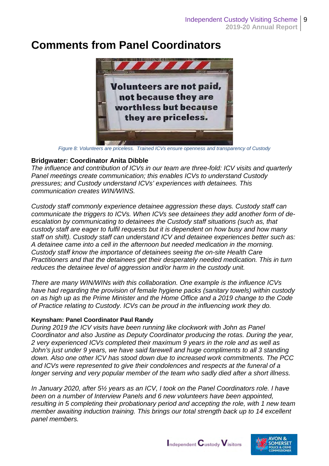### **Comments from Panel Coordinators**



*Figure 8: Volunteers are priceless. Trained ICVs ensure openness and transparency of Custody* 

#### **Bridgwater: Coordinator Anita Dibble**

*The influence and contribution of ICVs in our team are three-fold: ICV visits and quarterly Panel meetings create communication; this enables ICVs to understand Custody pressures; and Custody understand ICVs' experiences with detainees. This communication creates WIN/WINS.* 

*Custody staff commonly experience detainee aggression these days. Custody staff can communicate the triggers to ICVs. When ICVs see detainees they add another form of deescalation by communicating to detainees the Custody staff situations (such as, that custody staff are eager to fulfil requests but it is dependent on how busy and how many staff on shift). Custody staff can understand ICV and detainee experiences better such as: A detainee came into a cell in the afternoon but needed medication in the morning. Custody staff know the importance of detainees seeing the on-site Health Care Practitioners and that the detainees get their desperately needed medication. This in turn reduces the detainee level of aggression and/or harm in the custody unit.* 

*There are many WIN/WINs with this collaboration. One example is the influence ICVs have had regarding the provision of female hygiene packs (sanitary towels) within custody on as high up as the Prime Minister and the Home Office and a 2019 change to the Code of Practice relating to Custody. ICVs can be proud in the influencing work they do.*

#### **Keynsham: Panel Coordinator Paul Randy**

*During 2019 the ICV visits have been running like clockwork with John as Panel Coordinator and also Justine as Deputy Coordinator producing the rotas. During the year, 2 very experienced ICVs completed their maximum 9 years in the role and as well as John's just under 9 years, we have said farewell and huge compliments to all 3 standing down. Also one other ICV has stood down due to increased work commitments. The PCC and ICVs were represented to give their condolences and respects at the funeral of a longer serving and very popular member of the team who sadly died after a short illness.* 

*In January 2020, after 5½ years as an ICV, I took on the Panel Coordinators role. I have been on a number of Interview Panels and 6 new volunteers have been appointed, resulting in 5 completing their probationary period and accepting the role, with 1 new team member awaiting induction training. This brings our total strength back up to 14 excellent panel members.*

Independent Custody Visitors

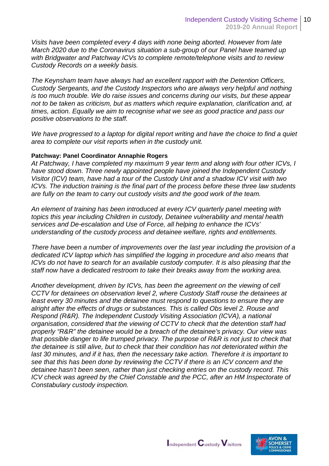*Visits have been completed every 4 days with none being aborted. However from late March 2020 due to the Coronavirus situation a sub-group of our Panel have teamed up with Bridgwater and Patchway ICVs to complete remote/telephone visits and to review Custody Records on a weekly basis.* 

*The Keynsham team have always had an excellent rapport with the Detention Officers, Custody Sergeants, and the Custody Inspectors who are always very helpful and nothing is too much trouble. We do raise issues and concerns during our visits, but these appear not to be taken as criticism, but as matters which require explanation, clarification and, at times, action. Equally we aim to recognise what we see as good practice and pass our positive observations to the staff.*

*We have progressed to a laptop for digital report writing and have the choice to find a quiet area to complete our visit reports when in the custody unit.*

#### **Patchway: Panel Coordinator Annaphie Rogers**

*At Patchway, I have completed my maximum 9 year term and along with four other ICVs, I have stood down. Three newly appointed people have joined the Independent Custody Visitor (ICV) team, have had a tour of the Custody Unit and a shadow ICV visit with two ICVs. The induction training is the final part of the process before these three law students are fully on the team to carry out custody visits and the good work of the team.* 

*An element of training has been introduced at every ICV quarterly panel meeting with topics this year including Children in custody, Detainee vulnerability and mental health services and De-escalation and Use of Force, all helping to enhance the ICVs' understanding of the custody process and detainee welfare, rights and entitlements.* 

*There have been a number of improvements over the last year including the provision of a dedicated ICV laptop which has simplified the logging in procedure and also means that ICVs do not have to search for an available custody computer. It is also pleasing that the staff now have a dedicated restroom to take their breaks away from the working area.* 

*Another development, driven by ICVs, has been the agreement on the viewing of cell CCTV for detainees on observation level 2, where Custody Staff rouse the detainees at least every 30 minutes and the detainee must respond to questions to ensure they are alright after the effects of drugs or substances. This is called Obs level 2. Rouse and Respond (R&R). The Independent Custody Visiting Association (ICVA), a national organisation, considered that the viewing of CCTV to check that the detention staff had properly "R&R" the detainee would be a breach of the detainee's privacy. Our view was that possible danger to life trumped privacy. The purpose of R&R is not just to check that the detainee is still alive, but to check that their condition has not deteriorated within the last 30 minutes, and if it has, then the necessary take action. Therefore it is important to see that this has been done by reviewing the CCTV if there is an ICV concern and the detainee hasn't been seen, rather than just checking entries on the custody record. This ICV check was agreed by the Chief Constable and the PCC, after an HM Inspectorate of Constabulary custody inspection.* 

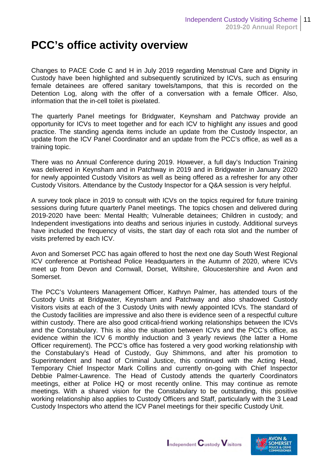### **PCC's office activity overview**

Changes to PACE Code C and H in July 2019 regarding Menstrual Care and Dignity in Custody have been highlighted and subsequently scrutinized by ICVs, such as ensuring female detainees are offered sanitary towels/tampons, that this is recorded on the Detention Log, along with the offer of a conversation with a female Officer. Also, information that the in-cell toilet is pixelated.

The quarterly Panel meetings for Bridgwater, Keynsham and Patchway provide an opportunity for ICVs to meet together and for each ICV to highlight any issues and good practice. The standing agenda items include an update from the Custody Inspector, an update from the ICV Panel Coordinator and an update from the PCC's office, as well as a training topic.

There was no Annual Conference during 2019. However, a full day's Induction Training was delivered in Keynsham and in Patchway in 2019 and in Bridgwater in January 2020 for newly appointed Custody Visitors as well as being offered as a refresher for any other Custody Visitors. Attendance by the Custody Inspector for a Q&A session is very helpful.

A survey took place in 2019 to consult with ICVs on the topics required for future training sessions during future quarterly Panel meetings. The topics chosen and delivered during 2019-2020 have been: Mental Health; Vulnerable detainees; Children in custody; and Independent investigations into deaths and serious injuries in custody. Additional surveys have included the frequency of visits, the start day of each rota slot and the number of visits preferred by each ICV.

Avon and Somerset PCC has again offered to host the next one day South West Regional ICV conference at Portishead Police Headquarters in the Autumn of 2020, where ICVs meet up from Devon and Cornwall, Dorset, Wiltshire, Gloucestershire and Avon and Somerset.

The PCC's Volunteers Management Officer, Kathryn Palmer, has attended tours of the Custody Units at Bridgwater, Keynsham and Patchway and also shadowed Custody Visitors visits at each of the 3 Custody Units with newly appointed ICVs. The standard of the Custody facilities are impressive and also there is evidence seen of a respectful culture within custody. There are also good critical-friend working relationships between the ICVs and the Constabulary. This is also the situation between ICVs and the PCC's office, as evidence within the ICV 6 monthly induction and 3 yearly reviews (the latter a Home Officer requirement). The PCC's office has fostered a very good working relationship with the Constabulary's Head of Custody, Guy Shimmons, and after his promotion to Superintendent and head of Criminal Justice, this continued with the Acting Head, Temporary Chief Inspector Mark Collins and currently on-going with Chief Inspector Debbie Palmer-Lawrence. The Head of Custody attends the quarterly Coordinators meetings, either at Police HQ or most recently online. This may continue as remote meetings. With a shared vision for the Constabulary to be outstanding, this positive working relationship also applies to Custody Officers and Staff, particularly with the 3 Lead Custody Inspectors who attend the ICV Panel meetings for their specific Custody Unit.

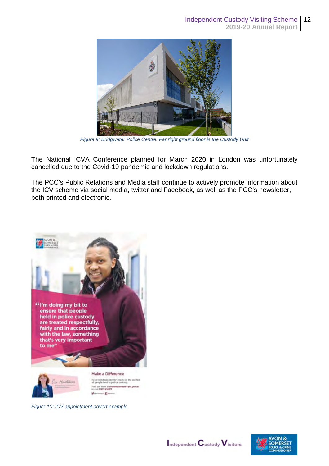

*Figure 9: Bridgwater Police Centre. Far right ground floor is the Custody Unit*

The National ICVA Conference planned for March 2020 in London was unfortunately cancelled due to the Covid-19 pandemic and lockdown regulations.

The PCC's Public Relations and Media staff continue to actively promote information about the ICV scheme via social media, twitter and Facebook, as well as the PCC's newsletter, both printed and electronic.



 $\times$  Ele

*Figure 10: ICV appointment advert example*



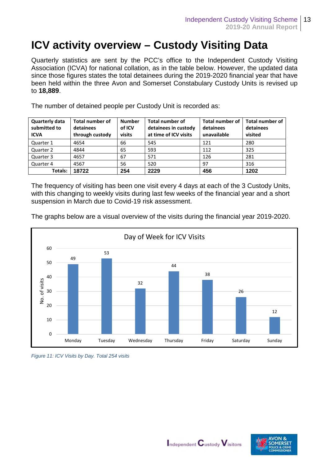### **ICV activity overview – Custody Visiting Data**

Quarterly statistics are sent by the PCC's office to the Independent Custody Visiting Association (ICVA) for national collation, as in the table below. However, the updated data since those figures states the total detainees during the 2019-2020 financial year that have been held within the three Avon and Somerset Constabulary Custody Units is revised up to **18,889**.

The number of detained people per Custody Unit is recorded as:

| Quarterly data<br>submitted to<br><b>ICVA</b> | <b>Total number of</b><br>detainees<br>through custody | <b>Number</b><br>of ICV<br>visits | <b>Total number of</b><br>detainees in custody<br>at time of ICV visits | <b>Total number of</b><br>detainees<br>unavailable | <b>Total number of</b><br>detainees<br>visited |
|-----------------------------------------------|--------------------------------------------------------|-----------------------------------|-------------------------------------------------------------------------|----------------------------------------------------|------------------------------------------------|
| Quarter 1                                     | 4654                                                   | 66                                | 545                                                                     | 121                                                | 280                                            |
| Quarter 2                                     | 4844                                                   | 65                                | 593                                                                     | 112                                                | 325                                            |
| Quarter 3                                     | 4657                                                   | 67                                | 571                                                                     | 126                                                | 281                                            |
| Quarter 4                                     | 4567                                                   | 56                                | 520                                                                     | 97                                                 | 316                                            |
| Totals:                                       | 18722                                                  | 254                               | 2229                                                                    | 456                                                | 1202                                           |

The frequency of visiting has been one visit every 4 days at each of the 3 Custody Units, with this changing to weekly visits during last few weeks of the financial year and a short suspension in March due to Covid-19 risk assessment.

The graphs below are a visual overview of the visits during the financial year 2019-2020.



*Figure 11: ICV Visits by Day. Total 254 visits*



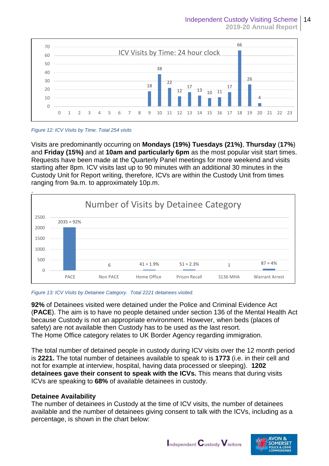

*Figure 12: ICV Visits by Time. Total 254 visits*

Visits are predominantly occurring on **Mondays (19%) Tuesdays (21%)**, **Thursday** (**17%**) and **Friday (15%)** and at **10am and particularly 6pm** as the most popular visit start times. Requests have been made at the Quarterly Panel meetings for more weekend and visits starting after 8pm. ICV visits last up to 90 minutes with an additional 30 minutes in the Custody Unit for Report writing, therefore, ICVs are within the Custody Unit from times ranging from 9a.m. to approximately 10p.m.



*Figure 13: ICV Visits by Detainee Category. Total 2221 detainees visited.*

**92%** of Detainees visited were detained under the Police and Criminal Evidence Act (**PACE**). The aim is to have no people detained under section 136 of the Mental Health Act because Custody is not an appropriate environment. However, when beds (places of safety) are not available then Custody has to be used as the last resort. The Home Office category relates to UK Border Agency regarding immigration.

The total number of detained people in custody during ICV visits over the 12 month period is **2221.** The total number of detainees available to speak to is **1773** (i.e. in their cell and not for example at interview, hospital, having data processed or sleeping). **1202 detainees gave their consent to speak with the ICVs.** This means that during visits ICVs are speaking to **68%** of available detainees in custody.

#### **Detainee Availability**

The number of detainees in Custody at the time of ICV visits, the number of detainees available and the number of detainees giving consent to talk with the ICVs, including as a percentage, is shown in the chart below:

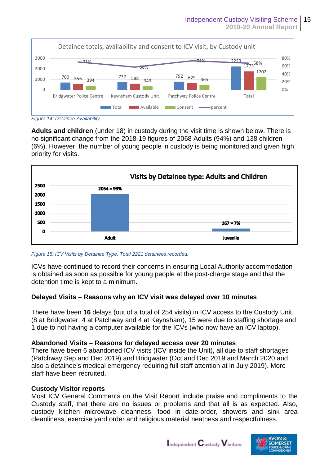

*Figure 14: Detainee Availability* 

**Adults and children** (under 18) in custody during the visit time is shown below. There is no significant change from the 2018-19 figures of 2068 Adults (94%) and 138 children (6%). However, the number of young people in custody is being monitored and given high priority for visits.



#### *Figure 15: ICV Visits by Detainee Type. Total 2221 detainees recorded.*

ICVs have continued to record their concerns in ensuring Local Authority accommodation is obtained as soon as possible for young people at the post-charge stage and that the detention time is kept to a minimum.

#### **Delayed Visits – Reasons why an ICV visit was delayed over 10 minutes**

There have been **16** delays (out of a total of 254 visits) in ICV access to the Custody Unit, (8 at Bridgwater, 4 at Patchway and 4 at Keynsham), 15 were due to staffing shortage and 1 due to not having a computer available for the ICVs (who now have an ICV laptop).

#### **Abandoned Visits – Reasons for delayed access over 20 minutes**

There have been 6 abandoned ICV visits (ICV inside the Unit), all due to staff shortages (Patchway Sep and Dec 2019) and Bridgwater (Oct and Dec 2019 and March 2020 and also a detainee's medical emergency requiring full staff attention at in July 2019). More staff have been recruited.

#### **Custody Visitor reports**

Most ICV General Comments on the Visit Report include praise and compliments to the Custody staff, that there are no issues or problems and that all is as expected. Also, custody kitchen microwave cleanness, food in date-order, showers and sink area cleanliness, exercise yard order and religious material neatness and respectfulness.

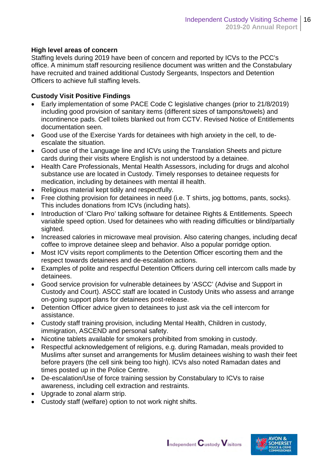#### **High level areas of concern**

Staffing levels during 2019 have been of concern and reported by ICVs to the PCC's office. A minimum staff resourcing resilience document was written and the Constabulary have recruited and trained additional Custody Sergeants, Inspectors and Detention Officers to achieve full staffing levels.

#### **Custody Visit Positive Findings**

- Early implementation of some PACE Code C legislative changes (prior to 21/8/2019) including good provision of sanitary items (different sizes of tampons/towels) and incontinence pads. Cell toilets blanked out from CCTV. Revised Notice of Entitlements documentation seen.
- Good use of the Exercise Yards for detainees with high anxiety in the cell, to deescalate the situation.
- Good use of the Language line and ICVs using the Translation Sheets and picture cards during their visits where English is not understood by a detainee.
- Health Care Professionals, Mental Health Assessors, including for drugs and alcohol substance use are located in Custody. Timely responses to detainee requests for medication, including by detainees with mental ill health.
- Religious material kept tidily and respectfully.
- Free clothing provision for detainees in need (i.e. T shirts, jog bottoms, pants, socks). This includes donations from ICVs (including hats).
- Introduction of 'Claro Pro' talking software for detainee Rights & Entitlements. Speech variable speed option. Used for detainees who with reading difficulties or blind/partially sighted.
- Increased calories in microwave meal provision. Also catering changes, including decaf coffee to improve detainee sleep and behavior. Also a popular porridge option.
- Most ICV visits report compliments to the Detention Officer escorting them and the respect towards detainees and de-escalation actions.
- Examples of polite and respectful Detention Officers during cell intercom calls made by detainees.
- Good service provision for vulnerable detainees by 'ASCC' (Advise and Support in Custody and Court). ASCC staff are located in Custody Units who assess and arrange on-going support plans for detainees post-release.
- Detention Officer advice given to detainees to just ask via the cell intercom for assistance.
- Custody staff training provision, including Mental Health, Children in custody, immigration, ASCEND and personal safety.
- Nicotine tablets available for smokers prohibited from smoking in custody.
- Respectful acknowledgement of religions, e.g. during Ramadan, meals provided to Muslims after sunset and arrangements for Muslim detainees wishing to wash their feet before prayers (the cell sink being too high). ICVs also noted Ramadan dates and times posted up in the Police Centre.
- De-escalation/Use of force training session by Constabulary to ICVs to raise awareness, including cell extraction and restraints.
- Upgrade to zonal alarm strip.
- Custody staff (welfare) option to not work night shifts.



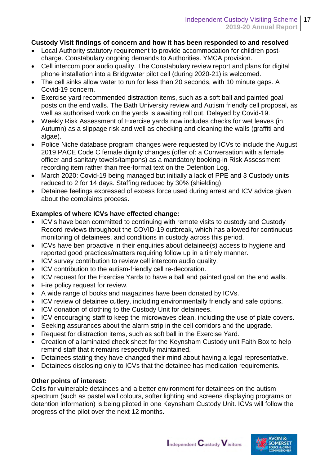#### **Custody Visit findings of concern and how it has been responded to and resolved**

- Local Authority statutory requirement to provide accommodation for children postcharge. Constabulary ongoing demands to Authorities. YMCA provision.
- Cell intercom poor audio quality. The Constabulary review report and plans for digital phone installation into a Bridgwater pilot cell (during 2020-21) is welcomed.
- The cell sinks allow water to run for less than 20 seconds, with 10 minute gaps. A Covid-19 concern.
- Exercise yard recommended distraction items, such as a soft ball and painted goal posts on the end walls. The Bath University review and Autism friendly cell proposal, as well as authorised work on the yards is awaiting roll out. Delayed by Covid-19.
- Weekly Risk Assessment of Exercise yards now includes checks for wet leaves (in Autumn) as a slippage risk and well as checking and cleaning the walls (graffiti and algae).
- Police Niche database program changes were requested by ICVs to include the August 2019 PACE Code C female dignity changes (offer of: a Conversation with a female officer and sanitary towels/tampons) as a mandatory booking-in Risk Assessment recording item rather than free-format text on the Detention Log.
- March 2020: Covid-19 being managed but initially a lack of PPE and 3 Custody units reduced to 2 for 14 days. Staffing reduced by 30% (shielding).
- Detainee feelings expressed of excess force used during arrest and ICV advice given about the complaints process.

#### **Examples of where ICVs have effected change:**

- ICV's have been committed to continuing with remote visits to custody and Custody Record reviews throughout the COVID-19 outbreak, which has allowed for continuous monitoring of detainees, and conditions in custody across this period.
- ICVs have ben proactive in their enquiries about detainee(s) access to hygiene and reported good practices/matters requiring follow up in a timely manner.
- ICV survey contribution to review cell intercom audio quality.
- ICV contribution to the autism-friendly cell re-decoration.
- ICV request for the Exercise Yards to have a ball and painted goal on the end walls.
- Fire policy request for review.
- A wide range of books and magazines have been donated by ICVs.
- ICV review of detainee cutlery, including environmentally friendly and safe options.
- ICV donation of clothing to the Custody Unit for detainees.
- ICV encouraging staff to keep the microwaves clean, including the use of plate covers.
- Seeking assurances about the alarm strip in the cell corridors and the upgrade.
- Request for distraction items, such as soft ball in the Exercise Yard.
- Creation of a laminated check sheet for the Keynsham Custody unit Faith Box to help remind staff that it remains respectfully maintained.
- Detainees stating they have changed their mind about having a legal representative.
- Detainees disclosing only to ICVs that the detainee has medication requirements.

#### **Other points of interest:**

Cells for vulnerable detainees and a better environment for detainees on the autism spectrum (such as pastel wall colours, softer lighting and screens displaying programs or detention information) is being piloted in one Keynsham Custody Unit. ICVs will follow the progress of the pilot over the next 12 months.



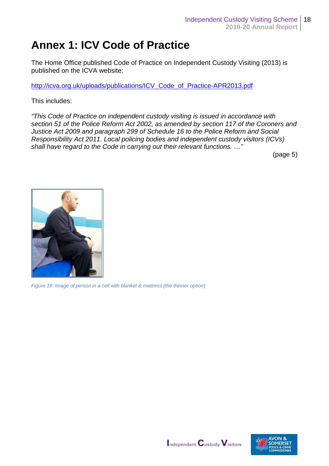### **Annex 1: ICV Code of Practice**

The Home Office published Code of Practice on Independent Custody Visiting (2013) is published on the ICVA website:

[http://icva.org.uk/uploads/publications/ICV\\_Code\\_of\\_Practice-APR2013.pdf](http://icva.org.uk/uploads/publications/ICV_Code_of_Practice-APR2013.pdf) 

This includes:

*"This Code of Practice on independent custody visiting is issued in accordance with section 51 of the Police Reform Act 2002, as amended by section 117 of the Coroners and Justice Act 2009 and paragraph 299 of Schedule 16 to the Police Reform and Social Responsibility Act 2011. Local policing bodies and independent custody visitors (ICVs) shall have regard to the Code in carrying out their relevant functions. …"*

(page 5)



*Figure 16: Image of person in a cell with blanket & mattress (the thinner option)*



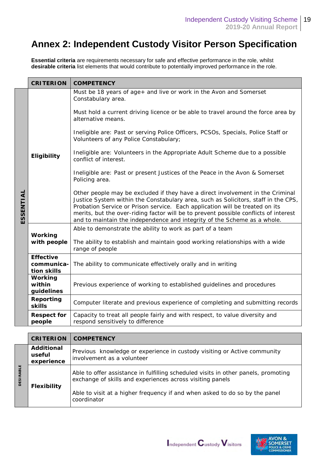### **Annex 2: Independent Custody Visitor Person Specification**

**Essential criteria** are requirements necessary for safe and effective performance in the role, whilst **desirable criteria** list elements that would contribute to potentially improved performance in the role.

|           | <b>CRITERION</b>                              | <b>COMPETENCY</b>                                                                                                                                                                                                                                                                                                                                                                                                        |
|-----------|-----------------------------------------------|--------------------------------------------------------------------------------------------------------------------------------------------------------------------------------------------------------------------------------------------------------------------------------------------------------------------------------------------------------------------------------------------------------------------------|
|           |                                               | Must be 18 years of age+ and live or work in the Avon and Somerset<br>Constabulary area.                                                                                                                                                                                                                                                                                                                                 |
|           | Eligibility                                   | Must hold a current driving licence or be able to travel around the force area by<br>alternative means.                                                                                                                                                                                                                                                                                                                  |
|           |                                               | Ineligible are: Past or serving Police Officers, PCSOs, Specials, Police Staff or<br>Volunteers of any Police Constabulary;                                                                                                                                                                                                                                                                                              |
|           |                                               | Ineligible are: Volunteers in the Appropriate Adult Scheme due to a possible<br>conflict of interest.                                                                                                                                                                                                                                                                                                                    |
|           |                                               | Ineligible are: Past or present Justices of the Peace in the Avon & Somerset<br>Policing area.                                                                                                                                                                                                                                                                                                                           |
| ESSENTIAL |                                               | Other people may be excluded if they have a direct involvement in the Criminal<br>Justice System within the Constabulary area, such as Solicitors, staff in the CPS,<br>Probation Service or Prison service. Each application will be treated on its<br>merits, but the over-riding factor will be to prevent possible conflicts of interest<br>and to maintain the independence and integrity of the Scheme as a whole. |
|           |                                               | Able to demonstrate the ability to work as part of a team                                                                                                                                                                                                                                                                                                                                                                |
|           | Working<br>with people                        | The ability to establish and maintain good working relationships with a wide<br>range of people                                                                                                                                                                                                                                                                                                                          |
|           | <b>Effective</b><br>communica-<br>tion skills | The ability to communicate effectively orally and in writing                                                                                                                                                                                                                                                                                                                                                             |
|           | Working<br>within<br>guidelines               | Previous experience of working to established guidelines and procedures                                                                                                                                                                                                                                                                                                                                                  |
|           | Reporting<br>skills                           | Computer literate and previous experience of completing and submitting records                                                                                                                                                                                                                                                                                                                                           |
|           | <b>Respect for</b><br>people                  | Capacity to treat all people fairly and with respect, to value diversity and<br>respond sensitively to difference                                                                                                                                                                                                                                                                                                        |

|                  | <b>CRITERION</b>                   | <b>COMPETENCY</b>                                                                                                                                                                                                                             |  |  |  |
|------------------|------------------------------------|-----------------------------------------------------------------------------------------------------------------------------------------------------------------------------------------------------------------------------------------------|--|--|--|
|                  | Additional<br>useful<br>experience | Previous knowledge or experience in custody visiting or Active community<br>involvement as a volunteer                                                                                                                                        |  |  |  |
| <b>DESIRABLE</b> | <b>Flexibility</b>                 | Able to offer assistance in fulfilling scheduled visits in other panels, promoting<br>exchange of skills and experiences across visiting panels<br>Able to visit at a higher frequency if and when asked to do so by the panel<br>coordinator |  |  |  |



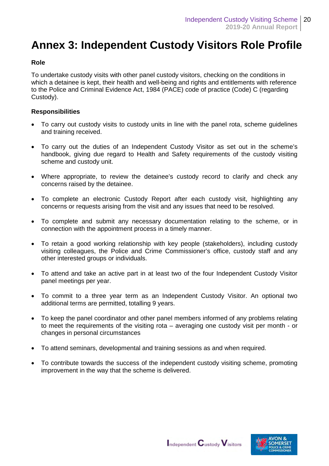### **Annex 3: Independent Custody Visitors Role Profile**

#### **Role**

To undertake custody visits with other panel custody visitors, checking on the conditions in which a detainee is kept, their health and well-being and rights and entitlements with reference to the Police and Criminal Evidence Act, 1984 (PACE) code of practice (Code) C (regarding Custody).

#### **Responsibilities**

- To carry out custody visits to custody units in line with the panel rota, scheme guidelines and training received.
- To carry out the duties of an Independent Custody Visitor as set out in the scheme's handbook, giving due regard to Health and Safety requirements of the custody visiting scheme and custody unit.
- Where appropriate, to review the detainee's custody record to clarify and check any concerns raised by the detainee.
- To complete an electronic Custody Report after each custody visit, highlighting any concerns or requests arising from the visit and any issues that need to be resolved.
- To complete and submit any necessary documentation relating to the scheme, or in connection with the appointment process in a timely manner.
- To retain a good working relationship with key people (stakeholders), including custody visiting colleagues, the Police and Crime Commissioner's office, custody staff and any other interested groups or individuals.
- To attend and take an active part in at least two of the four Independent Custody Visitor panel meetings per year.
- To commit to a three year term as an Independent Custody Visitor. An optional two additional terms are permitted, totalling 9 years.
- To keep the panel coordinator and other panel members informed of any problems relating to meet the requirements of the visiting rota – averaging one custody visit per month - or changes in personal circumstances
- To attend seminars, developmental and training sessions as and when required.
- To contribute towards the success of the independent custody visiting scheme, promoting improvement in the way that the scheme is delivered.